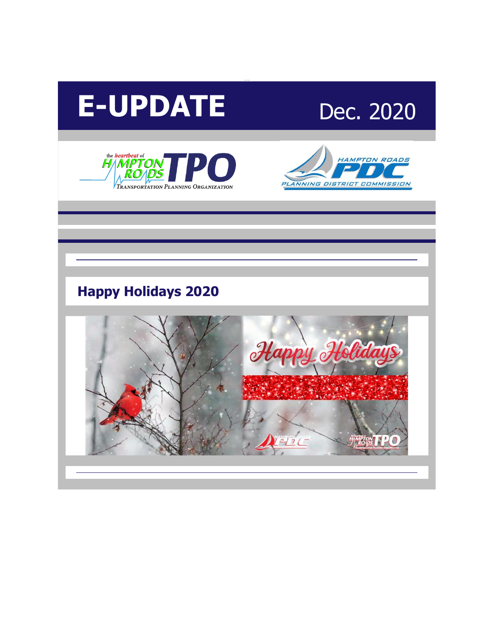







# **Happy Holidays 2020**

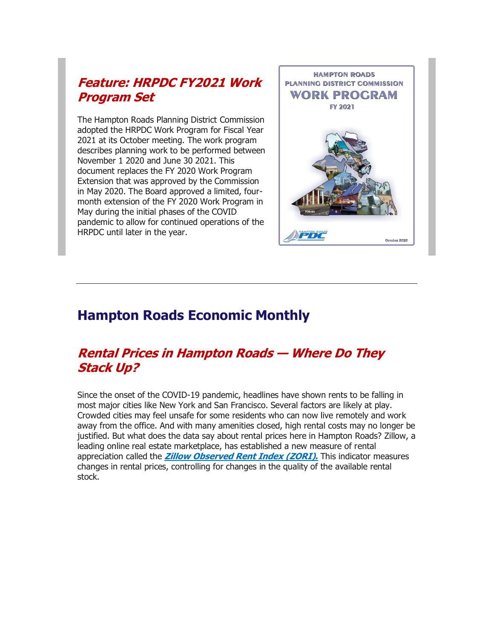#### **[Feature: HRPDC FY2021 Work](http://r20.rs6.net/tn.jsp?f=0018Lj6gKZXsIelVWAmVpe9raX90-0824rQj2dhapZghcWpFNYig1XdVmz4MlzP0aeRtX0wL3gBUujtco4n-zW2XeoZkNViRDETZiQmOSf_ZdQH3Wr8U0RWbJr_OK_S32K85BlkH8xR6chbYwUq5m7rUp4UdQ10ER2x0cT58zpo6sQ4Nptk-c5VXqIljo2Sh7N6Pe2KioVpgl-WqLzpLBZcuahkbHH9dHqtVVTZSfIyEixYNAI_Jhmnzx9mO17iPZmu&c=x8db17ch579bub8pcXHuzPNSMEBA29bq8jAQq_tUGeVaKtlQsrLuSA==&ch=ssYxuWWTC9Ou8KETOZtOVy-ZVbwvG7rCK2PldpxjyMue0DZXCs17Ew==)  [Program Set](http://r20.rs6.net/tn.jsp?f=0018Lj6gKZXsIelVWAmVpe9raX90-0824rQj2dhapZghcWpFNYig1XdVmz4MlzP0aeRtX0wL3gBUujtco4n-zW2XeoZkNViRDETZiQmOSf_ZdQH3Wr8U0RWbJr_OK_S32K85BlkH8xR6chbYwUq5m7rUp4UdQ10ER2x0cT58zpo6sQ4Nptk-c5VXqIljo2Sh7N6Pe2KioVpgl-WqLzpLBZcuahkbHH9dHqtVVTZSfIyEixYNAI_Jhmnzx9mO17iPZmu&c=x8db17ch579bub8pcXHuzPNSMEBA29bq8jAQq_tUGeVaKtlQsrLuSA==&ch=ssYxuWWTC9Ou8KETOZtOVy-ZVbwvG7rCK2PldpxjyMue0DZXCs17Ew==)**

The Hampton Roads Planning District Commission adopted the HRPDC Work Program for Fiscal Year 2021 at its October meeting. The work program describes planning work to be performed between November 1 2020 and June 30 2021. This document replaces the FY 2020 Work Program Extension that was approved by the Commission in May 2020. The Board approved a limited, fourmonth extension of the FY 2020 Work Program in May during the initial phases of the COVID pandemic to allow for continued operations of the HRPDC until later in the year.



### **Hampton Roads Economic Monthly**

#### **[Rental Prices in Hampton Roads](http://r20.rs6.net/tn.jsp?f=0018Lj6gKZXsIelVWAmVpe9raX90-0824rQj2dhapZghcWpFNYig1XdVmz4MlzP0aeR0BC8uoCfvIUJ7yQy61EJmBjW6PuTkPgLXVpfmlEbRCGbXdq2l25sI_YZ73reQVK7BuMqAqftDSU60V-1FnJqdzBcRMLSyLLs3R8H08Kx75XiG3G6lkeqZf4W4AbljbyAp1HKd59kQacOOt5201NP8Q==&c=x8db17ch579bub8pcXHuzPNSMEBA29bq8jAQq_tUGeVaKtlQsrLuSA==&ch=ssYxuWWTC9Ou8KETOZtOVy-ZVbwvG7rCK2PldpxjyMue0DZXCs17Ew==) — Where Do They [Stack Up?](http://r20.rs6.net/tn.jsp?f=0018Lj6gKZXsIelVWAmVpe9raX90-0824rQj2dhapZghcWpFNYig1XdVmz4MlzP0aeR0BC8uoCfvIUJ7yQy61EJmBjW6PuTkPgLXVpfmlEbRCGbXdq2l25sI_YZ73reQVK7BuMqAqftDSU60V-1FnJqdzBcRMLSyLLs3R8H08Kx75XiG3G6lkeqZf4W4AbljbyAp1HKd59kQacOOt5201NP8Q==&c=x8db17ch579bub8pcXHuzPNSMEBA29bq8jAQq_tUGeVaKtlQsrLuSA==&ch=ssYxuWWTC9Ou8KETOZtOVy-ZVbwvG7rCK2PldpxjyMue0DZXCs17Ew==)**

Since the onset of the COVID-19 pandemic, headlines have shown rents to be falling in most major cities like New York and San Francisco. Several factors are likely at play. Crowded cities may feel unsafe for some residents who can now live remotely and work away from the office. And with many amenities closed, high rental costs may no longer be justified. But what does the data say about rental prices here in Hampton Roads? Zillow, a leading online real estate marketplace, has established a new measure of rental appreciation called the **[Zillow Observed Rent Index \(ZORI\).](http://r20.rs6.net/tn.jsp?f=0018Lj6gKZXsIelVWAmVpe9raX90-0824rQj2dhapZghcWpFNYig1XdVmz4MlzP0aeRbHtOToSg58GYLoFmuxWO2RF08WaS4tYnv6vDqGGx6-oCp0xbIYrXHk-To8CqWgz7-qMpHnbCw3LhFNFNDjRFEtlGLn3jXG5hPaCu903YD7SBIFg6mm5lfWZtZgTFqtnWKq2BFZoqmrX2FvgYldN0nw==&c=x8db17ch579bub8pcXHuzPNSMEBA29bq8jAQq_tUGeVaKtlQsrLuSA==&ch=ssYxuWWTC9Ou8KETOZtOVy-ZVbwvG7rCK2PldpxjyMue0DZXCs17Ew==)** This indicator measures changes in rental prices, controlling for changes in the quality of the available rental stock.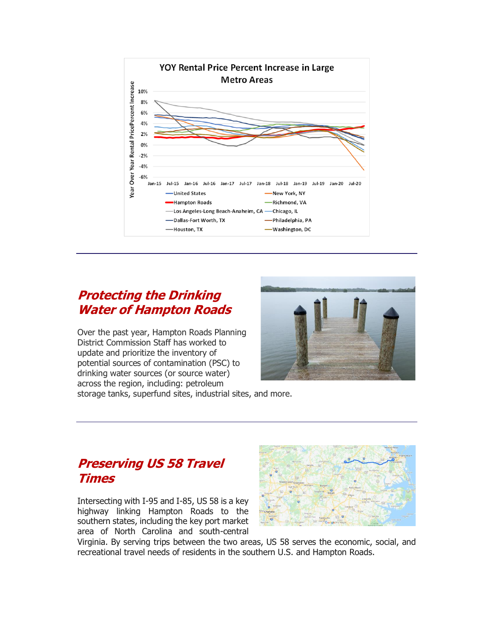

#### **[Protecting the Drinking](http://r20.rs6.net/tn.jsp?f=0018Lj6gKZXsIelVWAmVpe9raX90-0824rQj2dhapZghcWpFNYig1XdVmz4MlzP0aeR4yW7kWPXnFaZr2jFwRiqXS5Td4hNG2NTadDENqZEJZOtV4u2-SHZv1K-f10m_OaSG-krlnnQGEOz_vwLP5pFgwJ0bHQG9Ot38dfMNF4Onr9S2h4b2Lyi33r-UdKdGAz1iEU2d9jaYfYJpnMwHFApEHqclUUw_PZyjZSBR9tnjvy-EXb90fZbgYileY14egzfYlB4I38A724=&c=x8db17ch579bub8pcXHuzPNSMEBA29bq8jAQq_tUGeVaKtlQsrLuSA==&ch=ssYxuWWTC9Ou8KETOZtOVy-ZVbwvG7rCK2PldpxjyMue0DZXCs17Ew==)  [Water of Hampton Roads](http://r20.rs6.net/tn.jsp?f=0018Lj6gKZXsIelVWAmVpe9raX90-0824rQj2dhapZghcWpFNYig1XdVmz4MlzP0aeR4yW7kWPXnFaZr2jFwRiqXS5Td4hNG2NTadDENqZEJZOtV4u2-SHZv1K-f10m_OaSG-krlnnQGEOz_vwLP5pFgwJ0bHQG9Ot38dfMNF4Onr9S2h4b2Lyi33r-UdKdGAz1iEU2d9jaYfYJpnMwHFApEHqclUUw_PZyjZSBR9tnjvy-EXb90fZbgYileY14egzfYlB4I38A724=&c=x8db17ch579bub8pcXHuzPNSMEBA29bq8jAQq_tUGeVaKtlQsrLuSA==&ch=ssYxuWWTC9Ou8KETOZtOVy-ZVbwvG7rCK2PldpxjyMue0DZXCs17Ew==)**

Over the past year, Hampton Roads Planning District Commission Staff has worked to update and prioritize the inventory of potential sources of contamination (PSC) to drinking water sources (or source water) across the region, including: petroleum storage tanks, superfund sites, industrial sites, and more.



#### **[Preserving US 58 Travel](http://r20.rs6.net/tn.jsp?f=0018Lj6gKZXsIelVWAmVpe9raX90-0824rQj2dhapZghcWpFNYig1XdVmz4MlzP0aeR9hQw6ci0qDo2jiv2_3jAnmCK7ktUM8Z4wZJ2hx_8KFLpOosayQvzlT7DtP2H5bgMw-eu-s9w13Snm--kJWX53LRzhlbzrx8fuq2TuVsinHYCWPZfi7RrzCtj7Yrj4ZNl2sQym3I0R60kTOxIJOd4WKoVq4viXS79v4OTP5KACgw=&c=x8db17ch579bub8pcXHuzPNSMEBA29bq8jAQq_tUGeVaKtlQsrLuSA==&ch=ssYxuWWTC9Ou8KETOZtOVy-ZVbwvG7rCK2PldpxjyMue0DZXCs17Ew==)  [Times](http://r20.rs6.net/tn.jsp?f=0018Lj6gKZXsIelVWAmVpe9raX90-0824rQj2dhapZghcWpFNYig1XdVmz4MlzP0aeR9hQw6ci0qDo2jiv2_3jAnmCK7ktUM8Z4wZJ2hx_8KFLpOosayQvzlT7DtP2H5bgMw-eu-s9w13Snm--kJWX53LRzhlbzrx8fuq2TuVsinHYCWPZfi7RrzCtj7Yrj4ZNl2sQym3I0R60kTOxIJOd4WKoVq4viXS79v4OTP5KACgw=&c=x8db17ch579bub8pcXHuzPNSMEBA29bq8jAQq_tUGeVaKtlQsrLuSA==&ch=ssYxuWWTC9Ou8KETOZtOVy-ZVbwvG7rCK2PldpxjyMue0DZXCs17Ew==)**

Intersecting with I-95 and I-85, US 58 is a key highway linking Hampton Roads to the southern states, including the key port market area of North Carolina and south-central



Virginia. By serving trips between the two areas, US 58 serves the economic, social, and recreational travel needs of residents in the southern U.S. and Hampton Roads.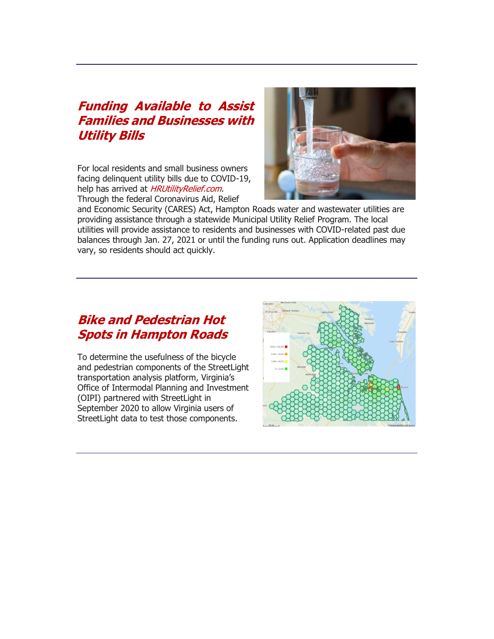#### **[Funding Available to Assist](http://r20.rs6.net/tn.jsp?f=0018Lj6gKZXsIelVWAmVpe9raX90-0824rQj2dhapZghcWpFNYig1XdVmz4MlzP0aeRJf_imehOzfXRzOy-SbnnEGH2TfssYiA9_wJnx5AdEI1c0N-h8Oj7qlMxr8RGA92nHD31Yg3MWXYq3k_u0QmF2O_bqlKwtsxNVrwMsgOHiQX6gGp3ax_wEWAG09N1j5ei2xqaDcU4WfFXf_AAJYKB45cxSvZ3nElFX57wGQmWiZoVu9ktsOUJ4r9MoXGhv3IhIzurOTEsl_zttASugCOr_ctS5MXU__WEsCUzOC7AAWM=&c=x8db17ch579bub8pcXHuzPNSMEBA29bq8jAQq_tUGeVaKtlQsrLuSA==&ch=ssYxuWWTC9Ou8KETOZtOVy-ZVbwvG7rCK2PldpxjyMue0DZXCs17Ew==)  [Families and Businesses with](http://r20.rs6.net/tn.jsp?f=0018Lj6gKZXsIelVWAmVpe9raX90-0824rQj2dhapZghcWpFNYig1XdVmz4MlzP0aeRJf_imehOzfXRzOy-SbnnEGH2TfssYiA9_wJnx5AdEI1c0N-h8Oj7qlMxr8RGA92nHD31Yg3MWXYq3k_u0QmF2O_bqlKwtsxNVrwMsgOHiQX6gGp3ax_wEWAG09N1j5ei2xqaDcU4WfFXf_AAJYKB45cxSvZ3nElFX57wGQmWiZoVu9ktsOUJ4r9MoXGhv3IhIzurOTEsl_zttASugCOr_ctS5MXU__WEsCUzOC7AAWM=&c=x8db17ch579bub8pcXHuzPNSMEBA29bq8jAQq_tUGeVaKtlQsrLuSA==&ch=ssYxuWWTC9Ou8KETOZtOVy-ZVbwvG7rCK2PldpxjyMue0DZXCs17Ew==)  [Utility Bills](http://r20.rs6.net/tn.jsp?f=0018Lj6gKZXsIelVWAmVpe9raX90-0824rQj2dhapZghcWpFNYig1XdVmz4MlzP0aeRJf_imehOzfXRzOy-SbnnEGH2TfssYiA9_wJnx5AdEI1c0N-h8Oj7qlMxr8RGA92nHD31Yg3MWXYq3k_u0QmF2O_bqlKwtsxNVrwMsgOHiQX6gGp3ax_wEWAG09N1j5ei2xqaDcU4WfFXf_AAJYKB45cxSvZ3nElFX57wGQmWiZoVu9ktsOUJ4r9MoXGhv3IhIzurOTEsl_zttASugCOr_ctS5MXU__WEsCUzOC7AAWM=&c=x8db17ch579bub8pcXHuzPNSMEBA29bq8jAQq_tUGeVaKtlQsrLuSA==&ch=ssYxuWWTC9Ou8KETOZtOVy-ZVbwvG7rCK2PldpxjyMue0DZXCs17Ew==)**

For local residents and small business owners facing delinquent utility bills due to COVID-19, help has arrived at [HRUtilityRelief.com](http://r20.rs6.net/tn.jsp?f=0018Lj6gKZXsIelVWAmVpe9raX90-0824rQj2dhapZghcWpFNYig1XdVmz4MlzP0aeRBYze446E7EydFKmIvrcMPf7VZTh0ydIY6HKQ4LFt4mq93T42DDAC5H_2uV8isMFHijYtS1y2Vdmvjj_SuujmpfBTmyR71euegdwongI41wI=&c=x8db17ch579bub8pcXHuzPNSMEBA29bq8jAQq_tUGeVaKtlQsrLuSA==&ch=ssYxuWWTC9Ou8KETOZtOVy-ZVbwvG7rCK2PldpxjyMue0DZXCs17Ew==). Through the federal Coronavirus Aid, Relief



and Economic Security (CARES) Act, Hampton Roads water and wastewater utilities are providing assistance through a statewide Municipal Utility Relief Program. The local utilities will provide assistance to residents and businesses with COVID-related past due balances through Jan. 27, 2021 or until the funding runs out. Application deadlines may vary, so residents should act quickly.

#### **[Bike and Pedestrian Hot](http://r20.rs6.net/tn.jsp?f=0018Lj6gKZXsIelVWAmVpe9raX90-0824rQj2dhapZghcWpFNYig1XdVmz4MlzP0aeRrpgrOQELXVDNPNeSKMzwEwuNPwvcOzScQKNTiqGNzfkpHz61L4qXQVW5AuLdHXXpYt0kQ1Gj8DbgRBv-Gtypm44x1r060jiTVE24xjA3WXHRhsjuTVbKrQSRFpvtTEkGtT-htNs7U6Yxg_W73foqnzHwB5O6PvLJgXQrWzmn1ucLDI3CzPOr3QvgPYlgXyuQlOhUUiM_U6s=&c=x8db17ch579bub8pcXHuzPNSMEBA29bq8jAQq_tUGeVaKtlQsrLuSA==&ch=ssYxuWWTC9Ou8KETOZtOVy-ZVbwvG7rCK2PldpxjyMue0DZXCs17Ew==)  [Spots in Hampton Roads](http://r20.rs6.net/tn.jsp?f=0018Lj6gKZXsIelVWAmVpe9raX90-0824rQj2dhapZghcWpFNYig1XdVmz4MlzP0aeRrpgrOQELXVDNPNeSKMzwEwuNPwvcOzScQKNTiqGNzfkpHz61L4qXQVW5AuLdHXXpYt0kQ1Gj8DbgRBv-Gtypm44x1r060jiTVE24xjA3WXHRhsjuTVbKrQSRFpvtTEkGtT-htNs7U6Yxg_W73foqnzHwB5O6PvLJgXQrWzmn1ucLDI3CzPOr3QvgPYlgXyuQlOhUUiM_U6s=&c=x8db17ch579bub8pcXHuzPNSMEBA29bq8jAQq_tUGeVaKtlQsrLuSA==&ch=ssYxuWWTC9Ou8KETOZtOVy-ZVbwvG7rCK2PldpxjyMue0DZXCs17Ew==)**

To determine the usefulness of the bicycle and pedestrian components of the StreetLight transportation analysis platform, Virginia's Office of Intermodal Planning and Investment (OIPI) partnered with StreetLight in September 2020 to allow Virginia users of StreetLight data to test those components.

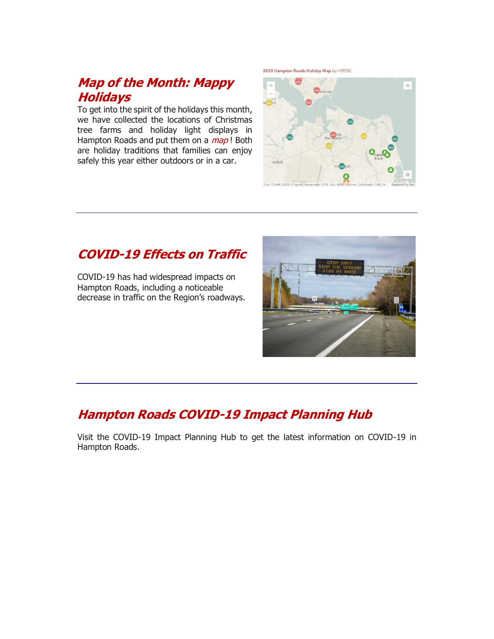#### **[Map of the Month: Mappy](http://r20.rs6.net/tn.jsp?f=0018Lj6gKZXsIelVWAmVpe9raX90-0824rQj2dhapZghcWpFNYig1XdVmz4MlzP0aeRQ-9dgOxaxUbjTtn3P8xSJ6QvoPFJylrYL4_TYCGWWD2Jdpa8uwZQW0zDwcM20i1GFTOF3gn8uszifDwdyRPhhQywSvFAt6XOy--vOYYhLGup0K5ynVCJBivtqw38PFmxzNMC2EW4gCciQctxfXUoYvSUng47MC-fKOkRIzpgfxxmhDpwl6zE-6-MIAYd6JViXEekEiR78SNOBigwvfyRp_oqrx6Rg9Z8&c=x8db17ch579bub8pcXHuzPNSMEBA29bq8jAQq_tUGeVaKtlQsrLuSA==&ch=ssYxuWWTC9Ou8KETOZtOVy-ZVbwvG7rCK2PldpxjyMue0DZXCs17Ew==)  [Holidays](http://r20.rs6.net/tn.jsp?f=0018Lj6gKZXsIelVWAmVpe9raX90-0824rQj2dhapZghcWpFNYig1XdVmz4MlzP0aeRQ-9dgOxaxUbjTtn3P8xSJ6QvoPFJylrYL4_TYCGWWD2Jdpa8uwZQW0zDwcM20i1GFTOF3gn8uszifDwdyRPhhQywSvFAt6XOy--vOYYhLGup0K5ynVCJBivtqw38PFmxzNMC2EW4gCciQctxfXUoYvSUng47MC-fKOkRIzpgfxxmhDpwl6zE-6-MIAYd6JViXEekEiR78SNOBigwvfyRp_oqrx6Rg9Z8&c=x8db17ch579bub8pcXHuzPNSMEBA29bq8jAQq_tUGeVaKtlQsrLuSA==&ch=ssYxuWWTC9Ou8KETOZtOVy-ZVbwvG7rCK2PldpxjyMue0DZXCs17Ew==)**

To get into the spirit of the holidays this month, we have collected the locations of Christmas tree farms and holiday light displays in Hampton Roads and put them on a  $map$ ! Both are holiday traditions that families can enjoy safely this year either outdoors or in a car.

2020 Hampton Roads Holiday Map by HRPDC



### **[COVID-19 Effects on Traffic](http://r20.rs6.net/tn.jsp?f=0018Lj6gKZXsIelVWAmVpe9raX90-0824rQj2dhapZghcWpFNYig1XdVmz4MlzP0aeRkjLunAYVwWl6grFDMxf5IXWgq3OU3Lvstn97Vpzb-1pRj4F1lRJSExdb2l2sbb5M_0NtqV60CCR8efjhvjAc77dPVGqwEjX6Lne9hdDpX-tE2Ia2E96Pjp58kenjiFTs8gqX5Nnis8vLUg-roHko23N5swWEytQ02InnG9a2Dgnl6Rh3Oo5kHkMU55fp22Fk3Xk36khuQJM=&c=x8db17ch579bub8pcXHuzPNSMEBA29bq8jAQq_tUGeVaKtlQsrLuSA==&ch=ssYxuWWTC9Ou8KETOZtOVy-ZVbwvG7rCK2PldpxjyMue0DZXCs17Ew==)**

COVID-19 has had widespread impacts on Hampton Roads, including a noticeable decrease in traffic on the Region's roadways.



## **[Hampton Roads COVID-19 Impact Planning Hub](http://r20.rs6.net/tn.jsp?f=0018Lj6gKZXsIelVWAmVpe9raX90-0824rQj2dhapZghcWpFNYig1XdVun8-PtPnzpb9lhzKZTF4z9iJNrp51uoXzW7bOjLb5MSfEk5mE-PNhxbXngN-Spo7FiAvvLsFJ8N96Gds4Y8D2NWCPsOFm3YiVzIAdNh8Uhb5YQatAi29pA=&c=x8db17ch579bub8pcXHuzPNSMEBA29bq8jAQq_tUGeVaKtlQsrLuSA==&ch=ssYxuWWTC9Ou8KETOZtOVy-ZVbwvG7rCK2PldpxjyMue0DZXCs17Ew==)**

Visit the COVID-19 Impact Planning Hub to get the latest information on COVID-19 in Hampton Roads.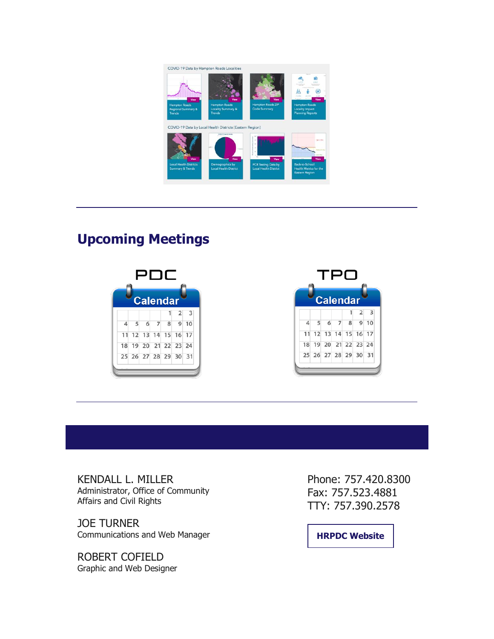

## **Upcoming Meetings**





KENDALL L. MILLER Administrator, Office of Community Affairs and Civil Rights

JOE TURNER Communications and Web Manager

ROBERT COFIELD Graphic and Web Designer Phone: 757.420.8300 Fax: 757.523.4881 TTY: 757.390.2578

**[HRPDC Website](http://r20.rs6.net/tn.jsp?f=0018Lj6gKZXsIelVWAmVpe9raX90-0824rQj2dhapZghcWpFNYig1XdVtb3zd7oilET4Wk2dSxrEaouZap1Z03h6t0xGx9ZrFweem2M3CdllcIS_-2l9aoRxj1NxVpi0mm2IxL9aTqJ46XEDfUZ7aLaxw==&c=x8db17ch579bub8pcXHuzPNSMEBA29bq8jAQq_tUGeVaKtlQsrLuSA==&ch=ssYxuWWTC9Ou8KETOZtOVy-ZVbwvG7rCK2PldpxjyMue0DZXCs17Ew==)**